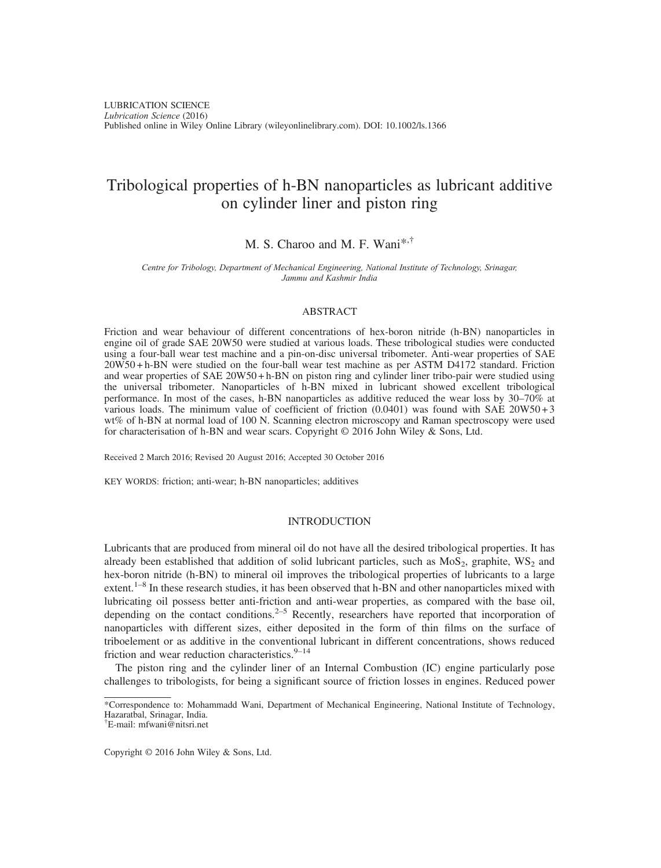# Tribological properties of h-BN nanoparticles as lubricant additive on cylinder liner and piston ring

## M. S. Charoo and M. F. Wani\*,†

Centre for Tribology, Department of Mechanical Engineering, National Institute of Technology, Srinagar, Jammu and Kashmir India

## ABSTRACT

Friction and wear behaviour of different concentrations of hex-boron nitride (h-BN) nanoparticles in engine oil of grade SAE 20W50 were studied at various loads. These tribological studies were conducted using a four-ball wear test machine and a pin-on-disc universal tribometer. Anti-wear properties of SAE 20W50 + h-BN were studied on the four-ball wear test machine as per ASTM D4172 standard. Friction and wear properties of SAE 20W50 + h-BN on piston ring and cylinder liner tribo-pair were studied using the universal tribometer. Nanoparticles of h-BN mixed in lubricant showed excellent tribological performance. In most of the cases, h-BN nanoparticles as additive reduced the wear loss by 30–70% at various loads. The minimum value of coefficient of friction  $(0.0401)$  was found with SAE 20W50+3 wt% of h-BN at normal load of 100 N. Scanning electron microscopy and Raman spectroscopy were used for characterisation of h-BN and wear scars. Copyright © 2016 John Wiley & Sons, Ltd.

Received 2 March 2016; Revised 20 August 2016; Accepted 30 October 2016

KEY WORDS: friction; anti-wear; h-BN nanoparticles; additives

## INTRODUCTION

Lubricants that are produced from mineral oil do not have all the desired tribological properties. It has already been established that addition of solid lubricant particles, such as  $MoS<sub>2</sub>$ , graphite,  $WS<sub>2</sub>$  and hex-boron nitride (h-BN) to mineral oil improves the tribological properties of lubricants to a large extent.<sup>1–8</sup> In these research studies, it has been observed that h-BN and other nanoparticles mixed with lubricating oil possess better anti-friction and anti-wear properties, as compared with the base oil, depending on the contact conditions.<sup>2–5</sup> Recently, researchers have reported that incorporation of nanoparticles with different sizes, either deposited in the form of thin films on the surface of triboelement or as additive in the conventional lubricant in different concentrations, shows reduced friction and wear reduction characteristics. $9-14$ 

The piston ring and the cylinder liner of an Internal Combustion (IC) engine particularly pose challenges to tribologists, for being a significant source of friction losses in engines. Reduced power

Copyright © 2016 John Wiley & Sons, Ltd.

<sup>\*</sup>Correspondence to: Mohammadd Wani, Department of Mechanical Engineering, National Institute of Technology, Hazaratbal, Srinagar, India.

<sup>†</sup> E-mail: mfwani@nitsri.net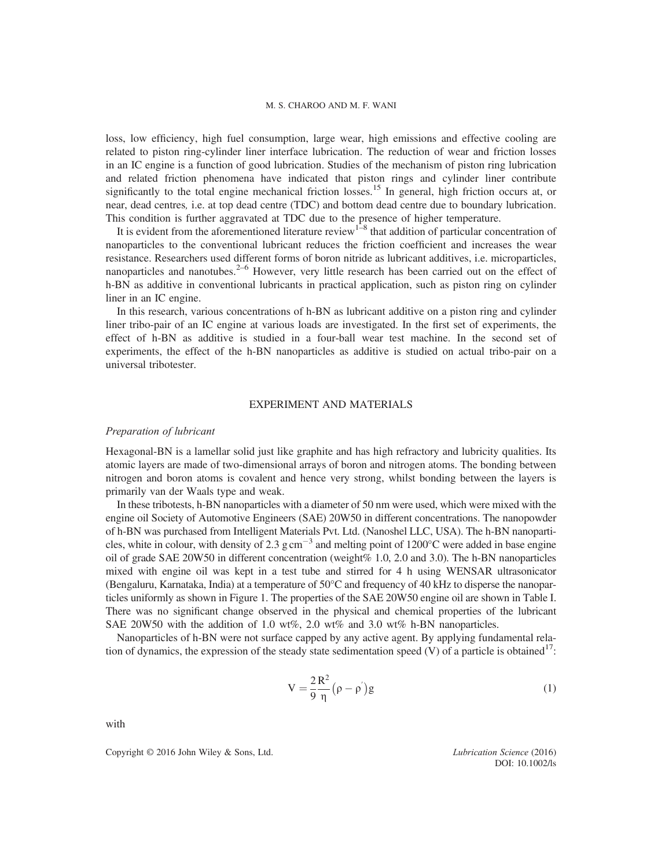loss, low efficiency, high fuel consumption, large wear, high emissions and effective cooling are related to piston ring-cylinder liner interface lubrication. The reduction of wear and friction losses in an IC engine is a function of good lubrication. Studies of the mechanism of piston ring lubrication and related friction phenomena have indicated that piston rings and cylinder liner contribute significantly to the total engine mechanical friction losses.<sup>15</sup> In general, high friction occurs at, or near, dead centres, i.e. at top dead centre (TDC) and bottom dead centre due to boundary lubrication. This condition is further aggravated at TDC due to the presence of higher temperature.

It is evident from the aforementioned literature review<sup>1–8</sup> that addition of particular concentration of nanoparticles to the conventional lubricant reduces the friction coefficient and increases the wear resistance. Researchers used different forms of boron nitride as lubricant additives, i.e. microparticles, nanoparticles and nanotubes.<sup>2–6</sup> However, very little research has been carried out on the effect of h-BN as additive in conventional lubricants in practical application, such as piston ring on cylinder liner in an IC engine.

In this research, various concentrations of h-BN as lubricant additive on a piston ring and cylinder liner tribo-pair of an IC engine at various loads are investigated. In the first set of experiments, the effect of h-BN as additive is studied in a four-ball wear test machine. In the second set of experiments, the effect of the h-BN nanoparticles as additive is studied on actual tribo-pair on a universal tribotester.

#### EXPERIMENT AND MATERIALS

#### Preparation of lubricant

Hexagonal-BN is a lamellar solid just like graphite and has high refractory and lubricity qualities. Its atomic layers are made of two-dimensional arrays of boron and nitrogen atoms. The bonding between nitrogen and boron atoms is covalent and hence very strong, whilst bonding between the layers is primarily van der Waals type and weak.

In these tribotests, h-BN nanoparticles with a diameter of 50 nm were used, which were mixed with the engine oil Society of Automotive Engineers (SAE) 20W50 in different concentrations. The nanopowder of h-BN was purchased from Intelligent Materials Pvt. Ltd. (Nanoshel LLC, USA). The h-BN nanoparticles, white in colour, with density of 2.3 g cm<sup>-3</sup> and melting point of  $1200^{\circ}$ C were added in base engine oil of grade SAE 20W50 in different concentration (weight% 1.0, 2.0 and 3.0). The h-BN nanoparticles mixed with engine oil was kept in a test tube and stirred for 4 h using WENSAR ultrasonicator (Bengaluru, Karnataka, India) at a temperature of 50°C and frequency of 40 kHz to disperse the nanoparticles uniformly as shown in Figure 1. The properties of the SAE 20W50 engine oil are shown in Table I. There was no significant change observed in the physical and chemical properties of the lubricant SAE 20W50 with the addition of 1.0 wt%, 2.0 wt% and 3.0 wt% h-BN nanoparticles.

Nanoparticles of h-BN were not surface capped by any active agent. By applying fundamental relation of dynamics, the expression of the steady state sedimentation speed  $(V)$  of a particle is obtained<sup>17</sup>:

$$
V = \frac{2 R^2}{9 \eta} (\rho - \rho') g \tag{1}
$$

with

Copyright © 2016 John Wiley & Sons, Ltd. Lubrication Science (2016)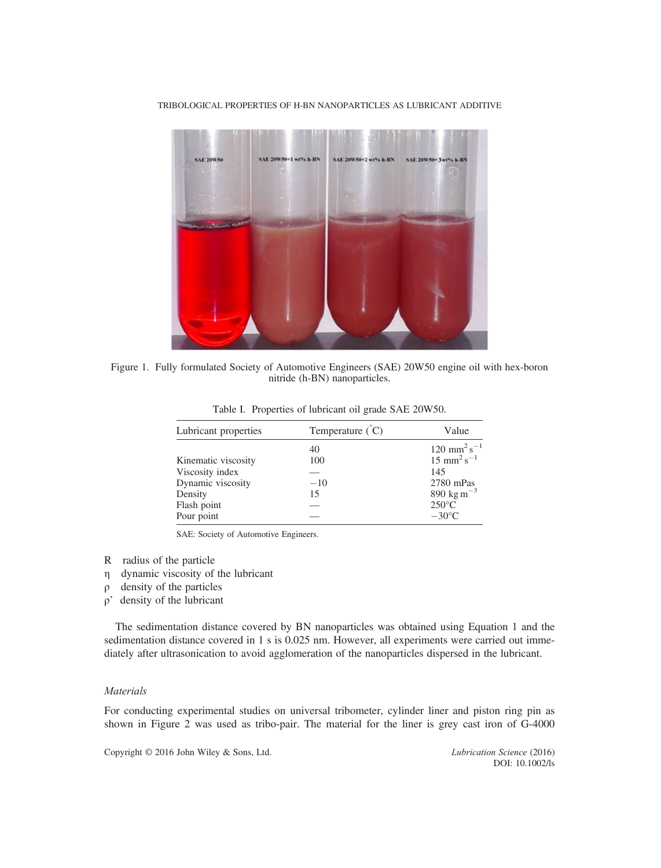

TRIBOLOGICAL PROPERTIES OF H-BN NANOPARTICLES AS LUBRICANT ADDITIVE

Figure 1. Fully formulated Society of Automotive Engineers (SAE) 20W50 engine oil with hex-boron nitride (h-BN) nanoparticles.

| Lubricant properties | Temperature $\zeta$ <sup><math>\zeta</math></sup> $C$ ) | Value                                 |  |
|----------------------|---------------------------------------------------------|---------------------------------------|--|
|                      | 40                                                      | $120$ mm <sup>2</sup> s <sup>-1</sup> |  |
| Kinematic viscosity  | 100                                                     | $15 \text{ mm}^2 \text{s}^{-1}$       |  |
| Viscosity index      |                                                         | 145                                   |  |
| Dynamic viscosity    | $-10$                                                   | 2780 mPas                             |  |
| Density              | 15                                                      | 890 kg m <sup><math>-3</math></sup>   |  |
| Flash point          |                                                         | $250^{\circ}$ C                       |  |
| Pour point           |                                                         | $-30^{\circ}$ C                       |  |

Table I. Properties of lubricant oil grade SAE 20W50.

SAE: Society of Automotive Engineers.

- R radius of the particle
- η dynamic viscosity of the lubricant
- ρ density of the particles
- ρ' density of the lubricant

The sedimentation distance covered by BN nanoparticles was obtained using Equation 1 and the sedimentation distance covered in 1 s is 0.025 nm. However, all experiments were carried out immediately after ultrasonication to avoid agglomeration of the nanoparticles dispersed in the lubricant.

## Materials

For conducting experimental studies on universal tribometer, cylinder liner and piston ring pin as shown in Figure 2 was used as tribo-pair. The material for the liner is grey cast iron of G-4000

Copyright © 2016 John Wiley & Sons, Ltd. Lubrication Science (2016)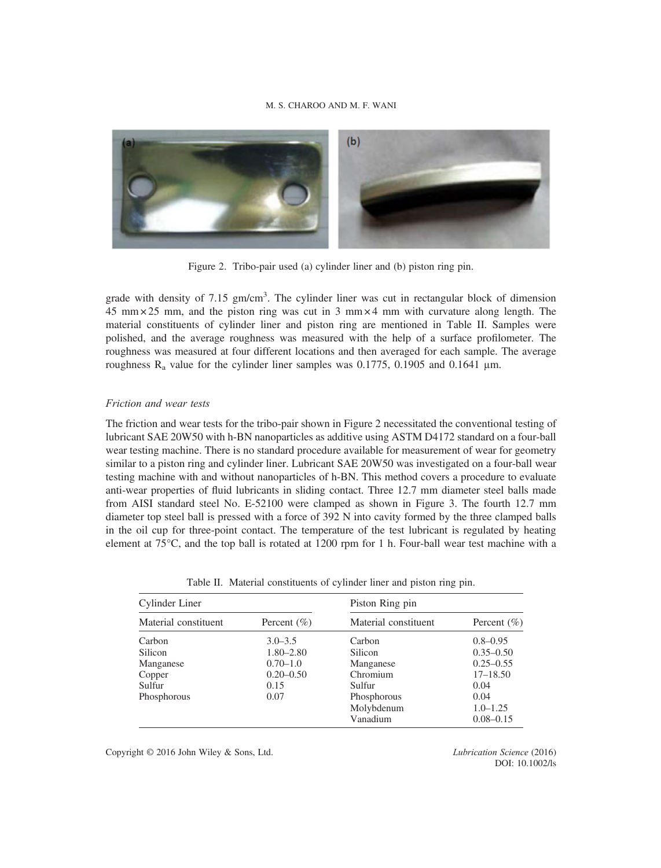

Figure 2. Tribo-pair used (a) cylinder liner and (b) piston ring pin.

grade with density of 7.15 gm/cm<sup>3</sup>. The cylinder liner was cut in rectangular block of dimension 45 mm  $\times$  25 mm, and the piston ring was cut in 3 mm  $\times$  4 mm with curvature along length. The material constituents of cylinder liner and piston ring are mentioned in Table II. Samples were polished, and the average roughness was measured with the help of a surface profilometer. The roughness was measured at four different locations and then averaged for each sample. The average roughness  $R_a$  value for the cylinder liner samples was 0.1775, 0.1905 and 0.1641  $\mu$ m.

## Friction and wear tests

The friction and wear tests for the tribo-pair shown in Figure 2 necessitated the conventional testing of lubricant SAE 20W50 with h-BN nanoparticles as additive using ASTM D4172 standard on a four-ball wear testing machine. There is no standard procedure available for measurement of wear for geometry similar to a piston ring and cylinder liner. Lubricant SAE 20W50 was investigated on a four-ball wear testing machine with and without nanoparticles of h-BN. This method covers a procedure to evaluate anti-wear properties of fluid lubricants in sliding contact. Three 12.7 mm diameter steel balls made from AISI standard steel No. E-52100 were clamped as shown in Figure 3. The fourth 12.7 mm diameter top steel ball is pressed with a force of 392 N into cavity formed by the three clamped balls in the oil cup for three-point contact. The temperature of the test lubricant is regulated by heating element at 75°C, and the top ball is rotated at 1200 rpm for 1 h. Four-ball wear test machine with a

Table II. Material constituents of cylinder liner and piston ring pin.

| Cylinder Liner       |                 | Piston Ring pin      |                 |  |
|----------------------|-----------------|----------------------|-----------------|--|
| Material constituent | Percent $(\% )$ | Material constituent | Percent $(\% )$ |  |
| Carbon               | $3.0 - 3.5$     | Carbon               | $0.8 - 0.95$    |  |
| <b>Silicon</b>       | $1.80 - 2.80$   | <b>Silicon</b>       | $0.35 - 0.50$   |  |
| Manganese            | $0.70 - 1.0$    | Manganese            | $0.25 - 0.55$   |  |
| Copper               | $0.20 - 0.50$   | Chromium             | $17 - 18.50$    |  |
| Sulfur               | 0.15            | Sulfur               | 0.04            |  |
| Phosphorous          | 0.07            | Phosphorous          | 0.04            |  |
|                      |                 | Molybdenum           | $1.0 - 1.25$    |  |
|                      |                 | Vanadium             | $0.08 - 0.15$   |  |

Copyright © 2016 John Wiley & Sons, Ltd. Lubrication Science (2016)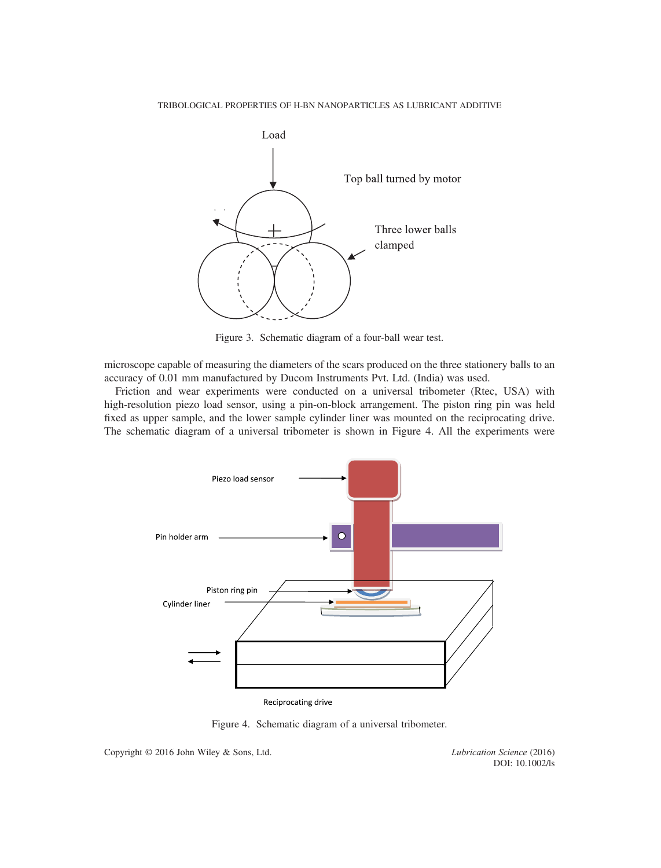

Figure 3. Schematic diagram of a four-ball wear test.

microscope capable of measuring the diameters of the scars produced on the three stationery balls to an accuracy of 0.01 mm manufactured by Ducom Instruments Pvt. Ltd. (India) was used.

Friction and wear experiments were conducted on a universal tribometer (Rtec, USA) with high-resolution piezo load sensor, using a pin-on-block arrangement. The piston ring pin was held fixed as upper sample, and the lower sample cylinder liner was mounted on the reciprocating drive. The schematic diagram of a universal tribometer is shown in Figure 4. All the experiments were



Figure 4. Schematic diagram of a universal tribometer.

Copyright © 2016 John Wiley & Sons, Ltd. Lubrication Science (2016)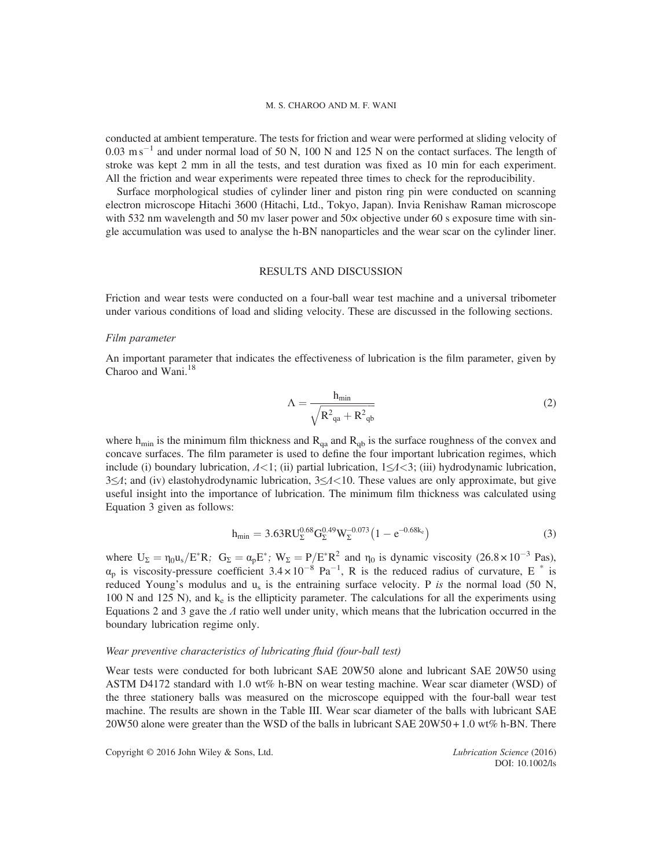conducted at ambient temperature. The tests for friction and wear were performed at sliding velocity of  $0.03 \text{ m s}^{-1}$  and under normal load of 50 N, 100 N and 125 N on the contact surfaces. The length of stroke was kept 2 mm in all the tests, and test duration was fixed as 10 min for each experiment. All the friction and wear experiments were repeated three times to check for the reproducibility.

Surface morphological studies of cylinder liner and piston ring pin were conducted on scanning electron microscope Hitachi 3600 (Hitachi, Ltd., Tokyo, Japan). Invia Renishaw Raman microscope with 532 nm wavelength and 50 mv laser power and  $50\times$  objective under 60 s exposure time with single accumulation was used to analyse the h-BN nanoparticles and the wear scar on the cylinder liner.

#### RESULTS AND DISCUSSION

Friction and wear tests were conducted on a four-ball wear test machine and a universal tribometer under various conditions of load and sliding velocity. These are discussed in the following sections.

#### Film parameter

An important parameter that indicates the effectiveness of lubrication is the film parameter, given by Charoo and Wani. $^{18}$ 

$$
\Lambda = \frac{h_{\min}}{\sqrt{R^2_{qa} + R^2_{qb}}}
$$
\n(2)

where  $h_{\text{min}}$  is the minimum film thickness and  $R_{\text{qa}}$  and  $R_{\text{qb}}$  is the surface roughness of the convex and concave surfaces. The film parameter is used to define the four important lubrication regimes, which include (i) boundary lubrication,  $\Lambda$ <1; (ii) partial lubrication,  $1 \leq \Lambda$ <3; (iii) hydrodynamic lubrication, 3≤Λ; and (iv) elastohydrodynamic lubrication, 3≤Λ<10. These values are only approximate, but give useful insight into the importance of lubrication. The minimum film thickness was calculated using Equation 3 given as follows:

$$
h_{\min} = 3.63 \text{RU}_{\Sigma}^{0.68} G_{\Sigma}^{0.49} W_{\Sigma}^{-0.073} (1 - e^{-0.68 k_c}) \tag{3}
$$

where  $U_{\Sigma} = \eta_0 u_s / E^* R$ ;  $G_{\Sigma} = \alpha_p E^*$ ;  $W_{\Sigma} = P/E^* R^2$  and  $\eta_0$  is dynamic viscosity (26.8 × 10<sup>-3</sup> Pas),  $\alpha_p$  is viscosity-pressure coefficient 3.4 × 10<sup>-8</sup> Pa<sup>-1</sup>, R is the reduced radius of curvature, E  $^*$  is reduced Young's modulus and  $u_s$  is the entraining surface velocity. P is the normal load (50 N, 100 N and 125 N), and  $k<sub>e</sub>$  is the ellipticity parameter. The calculations for all the experiments using Equations 2 and 3 gave the  $\Lambda$  ratio well under unity, which means that the lubrication occurred in the boundary lubrication regime only.

## Wear preventive characteristics of lubricating fluid (four-ball test)

Wear tests were conducted for both lubricant SAE 20W50 alone and lubricant SAE 20W50 using ASTM D4172 standard with 1.0 wt% h-BN on wear testing machine. Wear scar diameter (WSD) of the three stationery balls was measured on the microscope equipped with the four-ball wear test machine. The results are shown in the Table III. Wear scar diameter of the balls with lubricant SAE 20W50 alone were greater than the WSD of the balls in lubricant SAE 20W50 + 1.0 wt% h-BN. There

Copyright © 2016 John Wiley & Sons, Ltd. Lubrication Science (2016)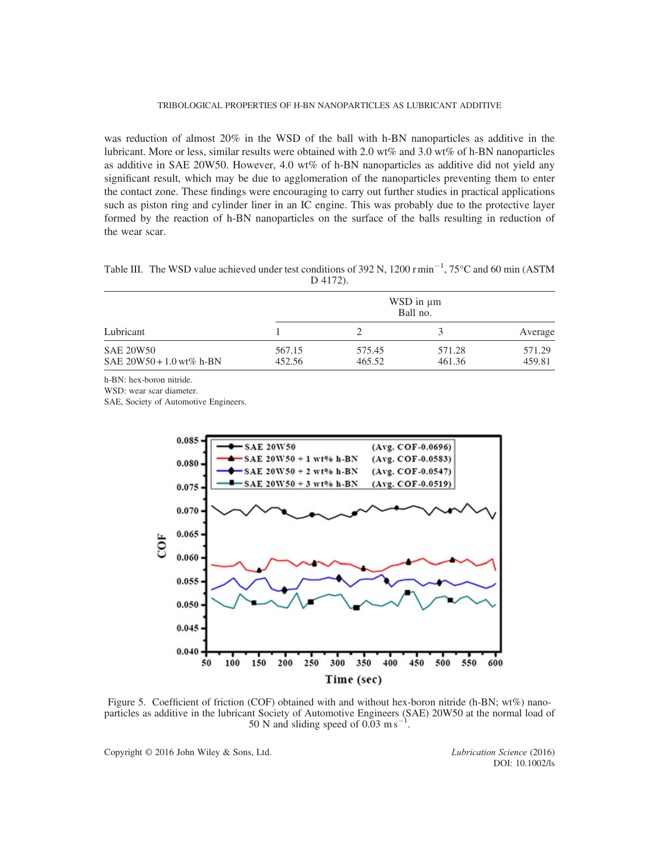#### TRIBOLOGICAL PROPERTIES OF H-BN NANOPARTICLES AS LUBRICANT ADDITIVE

was reduction of almost 20% in the WSD of the ball with h-BN nanoparticles as additive in the lubricant. More or less, similar results were obtained with 2.0 wt% and 3.0 wt% of h-BN nanoparticles as additive in SAE 20W50. However, 4.0 wt% of h-BN nanoparticles as additive did not yield any significant result, which may be due to agglomeration of the nanoparticles preventing them to enter the contact zone. These findings were encouraging to carry out further studies in practical applications such as piston ring and cylinder liner in an IC engine. This was probably due to the protective layer formed by the reaction of h-BN nanoparticles on the surface of the balls resulting in reduction of the wear scar.

Table III. The WSD value achieved under test conditions of 392 N, 1200 r min<sup>-1</sup>, 75°C and 60 min (ASTM D 4172).

| Lubricant                                      | WSD in $\mu$ m<br>Ball no. |                  |                  |                  |
|------------------------------------------------|----------------------------|------------------|------------------|------------------|
|                                                |                            |                  |                  | Average          |
| <b>SAE 20W50</b><br>SAE $20W50 + 1.0$ wt% h-BN | 567.15<br>452.56           | 575.45<br>465.52 | 571.28<br>461.36 | 571.29<br>459.81 |

h-BN: hex-boron nitride.

WSD: wear scar diameter.

SAE, Society of Automotive Engineers.



Figure 5. Coefficient of friction (COF) obtained with and without hex-boron nitride (h-BN; wt%) nanoparticles as additive in the lubricant Society of Automotive Engineers (SAE) 20W50 at the normal load of 50 N and sliding speed of  $0.03 \text{ m s}^{-1}$ .

Copyright © 2016 John Wiley & Sons, Ltd. Lubrication Science (2016)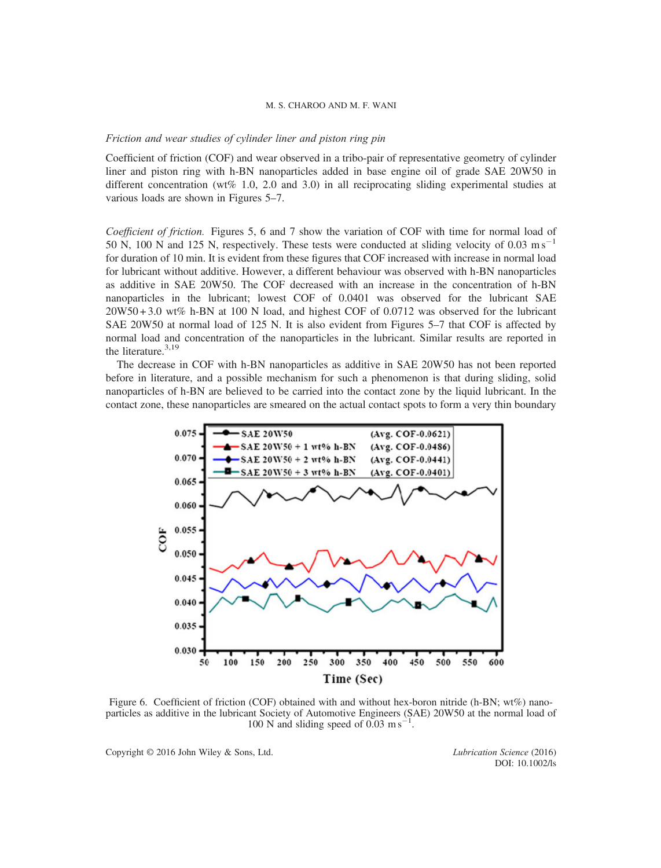#### Friction and wear studies of cylinder liner and piston ring pin

Coefficient of friction (COF) and wear observed in a tribo-pair of representative geometry of cylinder liner and piston ring with h-BN nanoparticles added in base engine oil of grade SAE 20W50 in different concentration (wt% 1.0, 2.0 and 3.0) in all reciprocating sliding experimental studies at various loads are shown in Figures 5–7.

Coefficient of friction. Figures 5, 6 and 7 show the variation of COF with time for normal load of 50 N, 100 N and 125 N, respectively. These tests were conducted at sliding velocity of 0.03 m s<sup>-1</sup> for duration of 10 min. It is evident from these figures that COF increased with increase in normal load for lubricant without additive. However, a different behaviour was observed with h-BN nanoparticles as additive in SAE 20W50. The COF decreased with an increase in the concentration of h-BN nanoparticles in the lubricant; lowest COF of 0.0401 was observed for the lubricant SAE 20W50 + 3.0 wt% h-BN at 100 N load, and highest COF of 0.0712 was observed for the lubricant SAE 20W50 at normal load of 125 N. It is also evident from Figures 5–7 that COF is affected by normal load and concentration of the nanoparticles in the lubricant. Similar results are reported in the literature.<sup>3,19</sup>

The decrease in COF with h-BN nanoparticles as additive in SAE 20W50 has not been reported before in literature, and a possible mechanism for such a phenomenon is that during sliding, solid nanoparticles of h-BN are believed to be carried into the contact zone by the liquid lubricant. In the contact zone, these nanoparticles are smeared on the actual contact spots to form a very thin boundary



Figure 6. Coefficient of friction (COF) obtained with and without hex-boron nitride (h-BN; wt%) nanoparticles as additive in the lubricant Society of Automotive Engineers (SAE) 20W50 at the normal load of 100 N and sliding speed of  $0.03 \text{ m s}^{-1}$ .

Copyright © 2016 John Wiley & Sons, Ltd. Lubrication Science (2016)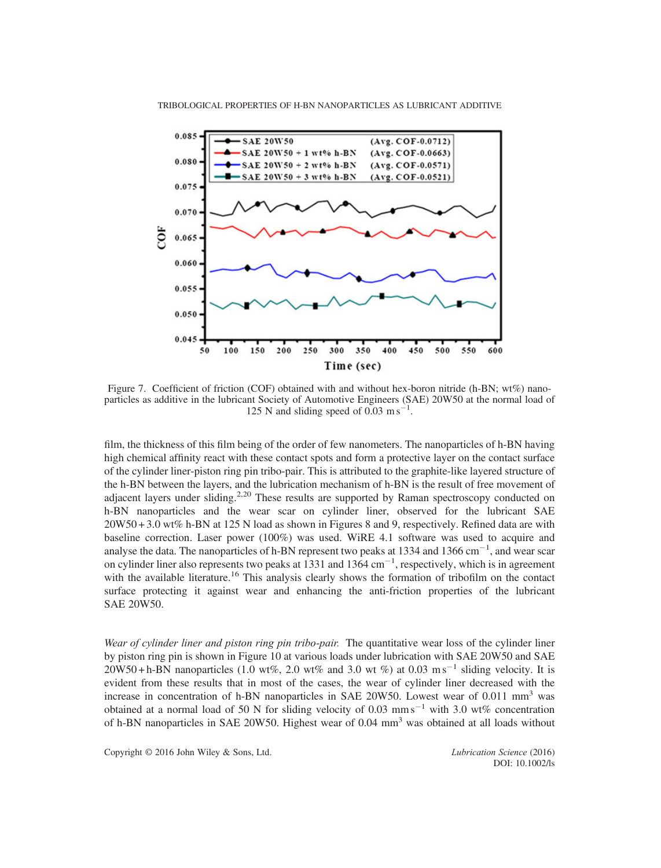

Figure 7. Coefficient of friction (COF) obtained with and without hex-boron nitride (h-BN; wt%) nanoparticles as additive in the lubricant Society of Automotive Engineers (SAE) 20W50 at the normal load of 125 N and sliding speed of  $0.03 \text{ m s}^{-1}$ .

film, the thickness of this film being of the order of few nanometers. The nanoparticles of h-BN having high chemical affinity react with these contact spots and form a protective layer on the contact surface of the cylinder liner-piston ring pin tribo-pair. This is attributed to the graphite-like layered structure of the h-BN between the layers, and the lubrication mechanism of h-BN is the result of free movement of adjacent layers under sliding.<sup>2,20</sup> These results are supported by Raman spectroscopy conducted on h-BN nanoparticles and the wear scar on cylinder liner, observed for the lubricant SAE 20W50 + 3.0 wt% h-BN at 125 N load as shown in Figures 8 and 9, respectively. Refined data are with baseline correction. Laser power (100%) was used. WiRE 4.1 software was used to acquire and analyse the data. The nanoparticles of h-BN represent two peaks at 1334 and 1366 cm<sup>-1</sup>, and wear scar on cylinder liner also represents two peaks at 1331 and 1364  $cm^{-1}$ , respectively, which is in agreement with the available literature.<sup>16</sup> This analysis clearly shows the formation of tribofilm on the contact surface protecting it against wear and enhancing the anti-friction properties of the lubricant SAE 20W50.

Wear of cylinder liner and piston ring pin tribo-pair. The quantitative wear loss of the cylinder liner by piston ring pin is shown in Figure 10 at various loads under lubrication with SAE 20W50 and SAE  $20W50 + h-BN$  nanoparticles (1.0 wt%, 2.0 wt% and 3.0 wt %) at 0.03 m s<sup>-1</sup> sliding velocity. It is evident from these results that in most of the cases, the wear of cylinder liner decreased with the increase in concentration of h-BN nanoparticles in SAE 20W50. Lowest wear of  $0.011$  mm<sup>3</sup> was obtained at a normal load of 50 N for sliding velocity of 0.03 mm s<sup>-1</sup> with 3.0 wt% concentration of h-BN nanoparticles in SAE 20W50. Highest wear of 0.04 mm<sup>3</sup> was obtained at all loads without

Copyright © 2016 John Wiley & Sons, Ltd. Lubrication Science (2016)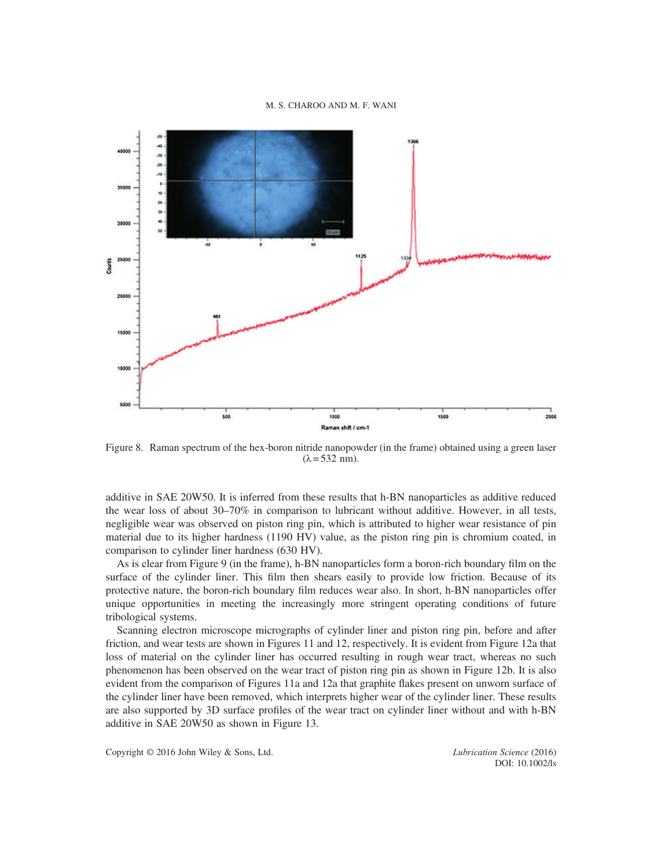

Figure 8. Raman spectrum of the hex-boron nitride nanopowder (in the frame) obtained using a green laser  $(\lambda = 532$  nm).

additive in SAE 20W50. It is inferred from these results that h-BN nanoparticles as additive reduced the wear loss of about 30–70% in comparison to lubricant without additive. However, in all tests, negligible wear was observed on piston ring pin, which is attributed to higher wear resistance of pin material due to its higher hardness (1190 HV) value, as the piston ring pin is chromium coated, in comparison to cylinder liner hardness (630 HV).

As is clear from Figure 9 (in the frame), h-BN nanoparticles form a boron-rich boundary film on the surface of the cylinder liner. This film then shears easily to provide low friction. Because of its protective nature, the boron-rich boundary film reduces wear also. In short, h-BN nanoparticles offer unique opportunities in meeting the increasingly more stringent operating conditions of future tribological systems.

Scanning electron microscope micrographs of cylinder liner and piston ring pin, before and after friction, and wear tests are shown in Figures 11 and 12, respectively. It is evident from Figure 12a that loss of material on the cylinder liner has occurred resulting in rough wear tract, whereas no such phenomenon has been observed on the wear tract of piston ring pin as shown in Figure 12b. It is also evident from the comparison of Figures 11a and 12a that graphite flakes present on unworn surface of the cylinder liner have been removed, which interprets higher wear of the cylinder liner. These results are also supported by 3D surface profiles of the wear tract on cylinder liner without and with h-BN additive in SAE 20W50 as shown in Figure 13.

Copyright © 2016 John Wiley & Sons, Ltd. Lubrication Science (2016)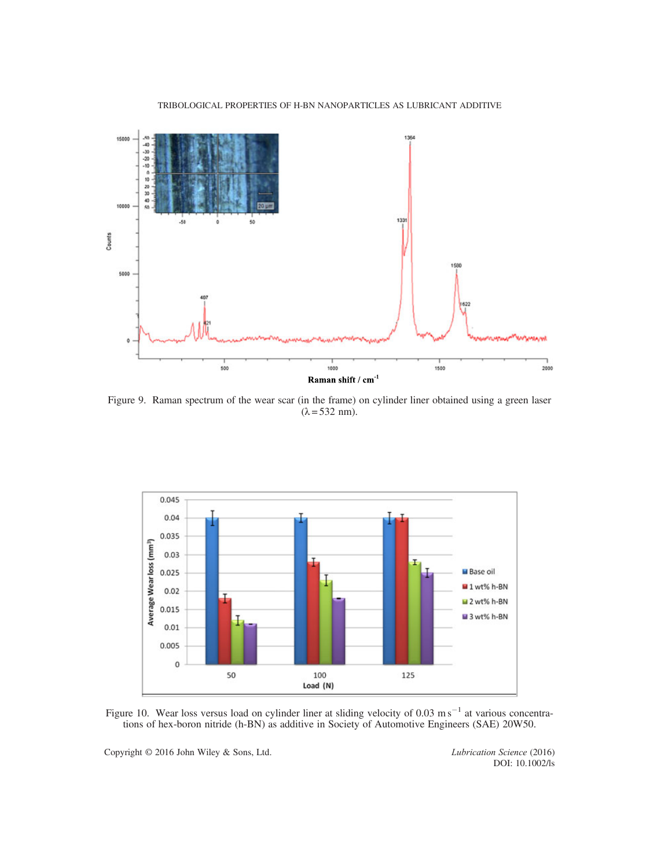



Figure 9. Raman spectrum of the wear scar (in the frame) on cylinder liner obtained using a green laser  $(\lambda = 532$  nm).



Figure 10. Wear loss versus load on cylinder liner at sliding velocity of 0.03 m s<sup>-1</sup> at various concentrations of hex-boron nitride (h-BN) as additive in Society of Automotive Engineers (SAE) 20W50.

Copyright © 2016 John Wiley & Sons, Ltd. Lubrication Science (2016)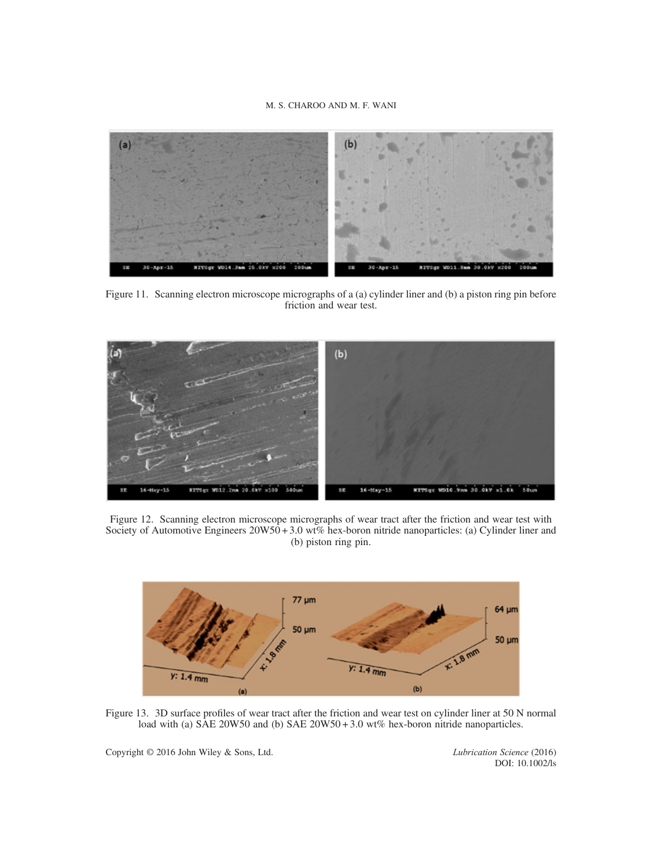

Figure 11. Scanning electron microscope micrographs of a (a) cylinder liner and (b) a piston ring pin before friction and wear test.



Figure 12. Scanning electron microscope micrographs of wear tract after the friction and wear test with Society of Automotive Engineers  $20W50 + 3.0$  wt% hex-boron nitride nanoparticles: (a) Cylinder liner and (b) piston ring pin.



Figure 13. 3D surface profiles of wear tract after the friction and wear test on cylinder liner at 50 N normal load with (a) SAE 20W50 and (b) SAE 20W50 + 3.0 wt% hex-boron nitride nanoparticles.

Copyright © 2016 John Wiley & Sons, Ltd. Lubrication Science (2016)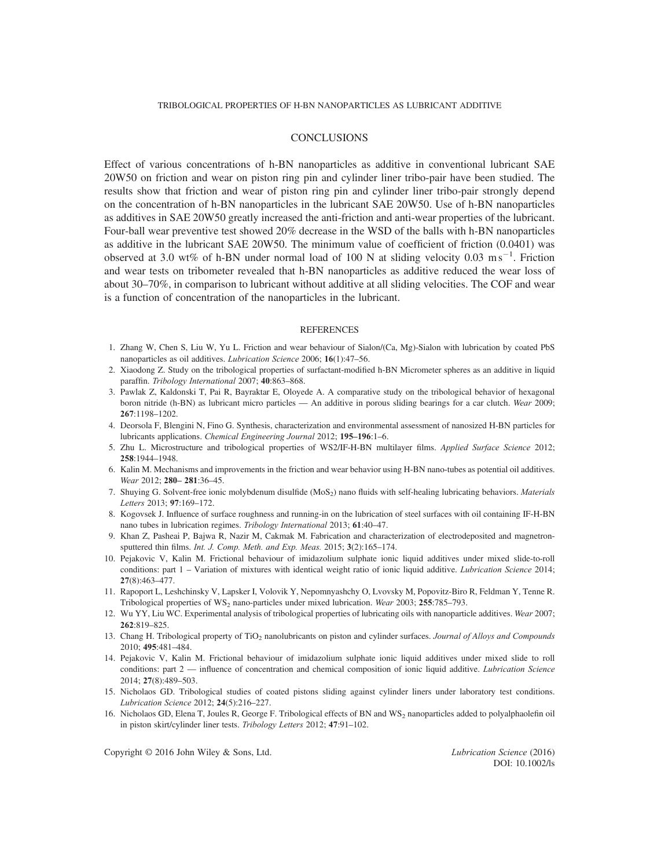#### TRIBOLOGICAL PROPERTIES OF H-BN NANOPARTICLES AS LUBRICANT ADDITIVE

#### **CONCLUSIONS**

Effect of various concentrations of h-BN nanoparticles as additive in conventional lubricant SAE 20W50 on friction and wear on piston ring pin and cylinder liner tribo-pair have been studied. The results show that friction and wear of piston ring pin and cylinder liner tribo-pair strongly depend on the concentration of h-BN nanoparticles in the lubricant SAE 20W50. Use of h-BN nanoparticles as additives in SAE 20W50 greatly increased the anti-friction and anti-wear properties of the lubricant. Four-ball wear preventive test showed 20% decrease in the WSD of the balls with h-BN nanoparticles as additive in the lubricant SAE 20W50. The minimum value of coefficient of friction (0.0401) was observed at 3.0 wt% of h-BN under normal load of 100 N at sliding velocity 0.03 m s<sup>-1</sup>. Friction and wear tests on tribometer revealed that h-BN nanoparticles as additive reduced the wear loss of about 30–70%, in comparison to lubricant without additive at all sliding velocities. The COF and wear is a function of concentration of the nanoparticles in the lubricant.

#### **REFERENCES**

- 1. Zhang W, Chen S, Liu W, Yu L. Friction and wear behaviour of Sialon/(Ca, Mg)-Sialon with lubrication by coated PbS nanoparticles as oil additives. Lubrication Science 2006; 16(1):47–56.
- 2. Xiaodong Z. Study on the tribological properties of surfactant-modified h-BN Micrometer spheres as an additive in liquid paraffin. Tribology International 2007; 40:863–868.
- 3. Pawlak Z, Kaldonski T, Pai R, Bayraktar E, Oloyede A. A comparative study on the tribological behavior of hexagonal boron nitride (h-BN) as lubricant micro particles — An additive in porous sliding bearings for a car clutch. Wear 2009; 267:1198–1202.
- 4. Deorsola F, Blengini N, Fino G. Synthesis, characterization and environmental assessment of nanosized H-BN particles for lubricants applications. Chemical Engineering Journal 2012; 195–196:1–6.
- 5. Zhu L. Microstructure and tribological properties of WS2/IF-H-BN multilayer films. Applied Surface Science 2012; 258:1944–1948.
- 6. Kalin M. Mechanisms and improvements in the friction and wear behavior using H-BN nano-tubes as potential oil additives. Wear 2012; 280– 281:36–45.
- 7. Shuying G. Solvent-free ionic molybdenum disulfide (MoS<sub>2</sub>) nano fluids with self-healing lubricating behaviors. *Materials* Letters 2013; 97:169–172.
- 8. Kogovsek J. Influence of surface roughness and running-in on the lubrication of steel surfaces with oil containing IF-H-BN nano tubes in lubrication regimes. Tribology International 2013; 61:40–47.
- 9. Khan Z, Pasheai P, Bajwa R, Nazir M, Cakmak M. Fabrication and characterization of electrodeposited and magnetronsputtered thin films. Int. J. Comp. Meth. and Exp. Meas. 2015; 3(2):165-174.
- 10. Pejakovic V, Kalin M. Frictional behaviour of imidazolium sulphate ionic liquid additives under mixed slide-to-roll conditions: part 1 – Variation of mixtures with identical weight ratio of ionic liquid additive. *Lubrication Science* 2014; 27(8):463–477.
- 11. Rapoport L, Leshchinsky V, Lapsker I, Volovik Y, Nepomnyashchy O, Lvovsky M, Popovitz-Biro R, Feldman Y, Tenne R. Tribological properties of  $WS_2$  nano-particles under mixed lubrication. Wear 2003; 255:785–793.
- 12. Wu YY, Liu WC. Experimental analysis of tribological properties of lubricating oils with nanoparticle additives. Wear 2007; 262:819–825.
- 13. Chang H. Tribological property of TiO<sub>2</sub> nanolubricants on piston and cylinder surfaces. Journal of Alloys and Compounds 2010; 495:481–484.
- 14. Pejakovic V, Kalin M. Frictional behaviour of imidazolium sulphate ionic liquid additives under mixed slide to roll conditions: part 2 — influence of concentration and chemical composition of ionic liquid additive. Lubrication Science 2014; 27(8):489–503.
- 15. Nicholaos GD. Tribological studies of coated pistons sliding against cylinder liners under laboratory test conditions. Lubrication Science 2012; 24(5):216–227.
- 16. Nicholaos GD, Elena T, Joules R, George F. Tribological effects of BN and WS<sub>2</sub> nanoparticles added to polyalphaolefin oil in piston skirt/cylinder liner tests. Tribology Letters 2012; 47:91–102.

Copyright © 2016 John Wiley & Sons, Ltd. Lubrication Science (2016)